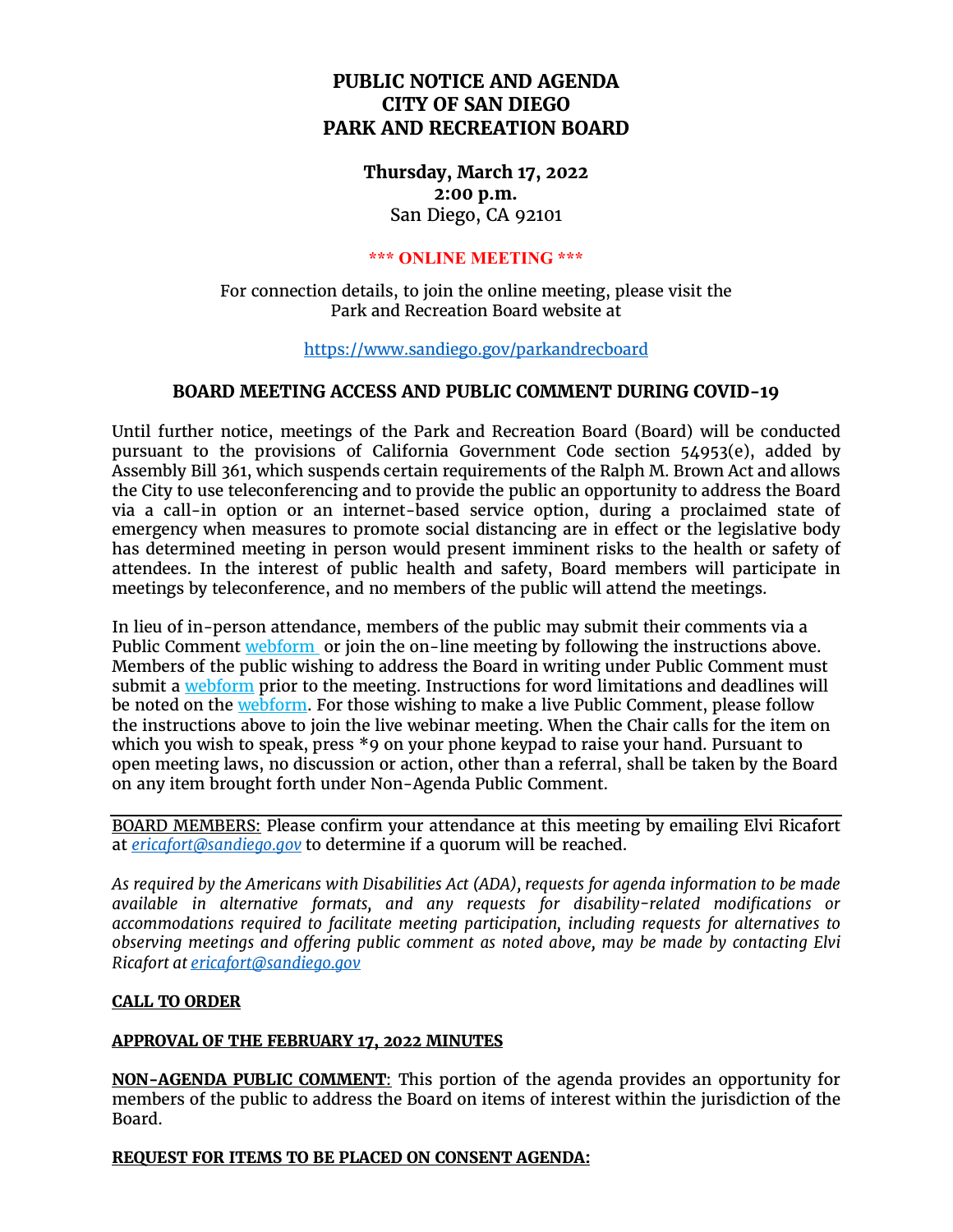# **PUBLIC NOTICE AND AGENDA CITY OF SAN DIEGO PARK AND RECREATION BOARD**

**Thursday, March 17, 2022 2:00 p.m.** San Diego, CA 92101

# **\*\*\* ONLINE MEETING \*\*\***

For connection details, to join the online meeting, please visit the Park and Recreation Board website at

<https://www.sandiego.gov/parkandrecboard>

## **BOARD MEETING ACCESS AND PUBLIC COMMENT DURING COVID-19**

Until further notice, meetings of the Park and Recreation Board (Board) will be conducted pursuant to the provisions of California Government Code section 54953(e), added by Assembly Bill 361, which suspends certain requirements of the Ralph M. Brown Act and allows the City to use teleconferencing and to provide the public an opportunity to address the Board via a call-in option or an internet-based service option, during a proclaimed state of emergency when measures to promote social distancing are in effect or the legislative body has determined meeting in person would present imminent risks to the health or safety of attendees. In the interest of public health and safety, Board members will participate in meetings by teleconference, and no members of the public will attend the meetings.

In lieu of in-person attendance, members of the public may submit their comments via a Public Comment [webform](https://www.sandiego.gov/boards-and-commissions/public-comment) or join the on-line meeting by following the instructions above. Members of the public wishing to address the Board in writing under Public Comment must submit a [webform](https://www.sandiego.gov/boards-and-commissions/public-comment) prior to the meeting. Instructions for word limitations and deadlines will be noted on the [webform.](https://www.sandiego.gov/boards-and-commissions/public-comment) For those wishing to make a live Public Comment, please follow the instructions above to join the live webinar meeting. When the Chair calls for the item on which you wish to speak, press \*9 on your phone keypad to raise your hand. Pursuant to open meeting laws, no discussion or action, other than a referral, shall be taken by the Board on any item brought forth under Non-Agenda Public Comment.

BOARD MEMBERS: Please confirm your attendance at this meeting by emailing Elvi Ricafort at *[ericafort@sandiego.gov](mailto:ericafort@sandiego.gov)* to determine if a quorum will be reached.

*As required by the Americans with Disabilities Act (ADA), requests for agenda information to be made available in alternative formats, and any requests for disability-related modifications or accommodations required to facilitate meeting participation, including requests for alternatives to observing meetings and offering public comment as noted above, may be made by contacting Elvi Ricafort a[t ericafort@sandiego.gov](mailto:ericafort@sandiego.gov)*

## **CALL TO ORDER**

## **APPROVAL OF THE FEBRUARY 17, 2022 MINUTES**

**NON-AGENDA PUBLIC COMMENT**: This portion of the agenda provides an opportunity for members of the public to address the Board on items of interest within the jurisdiction of the Board.

## **REQUEST FOR ITEMS TO BE PLACED ON CONSENT AGENDA:**